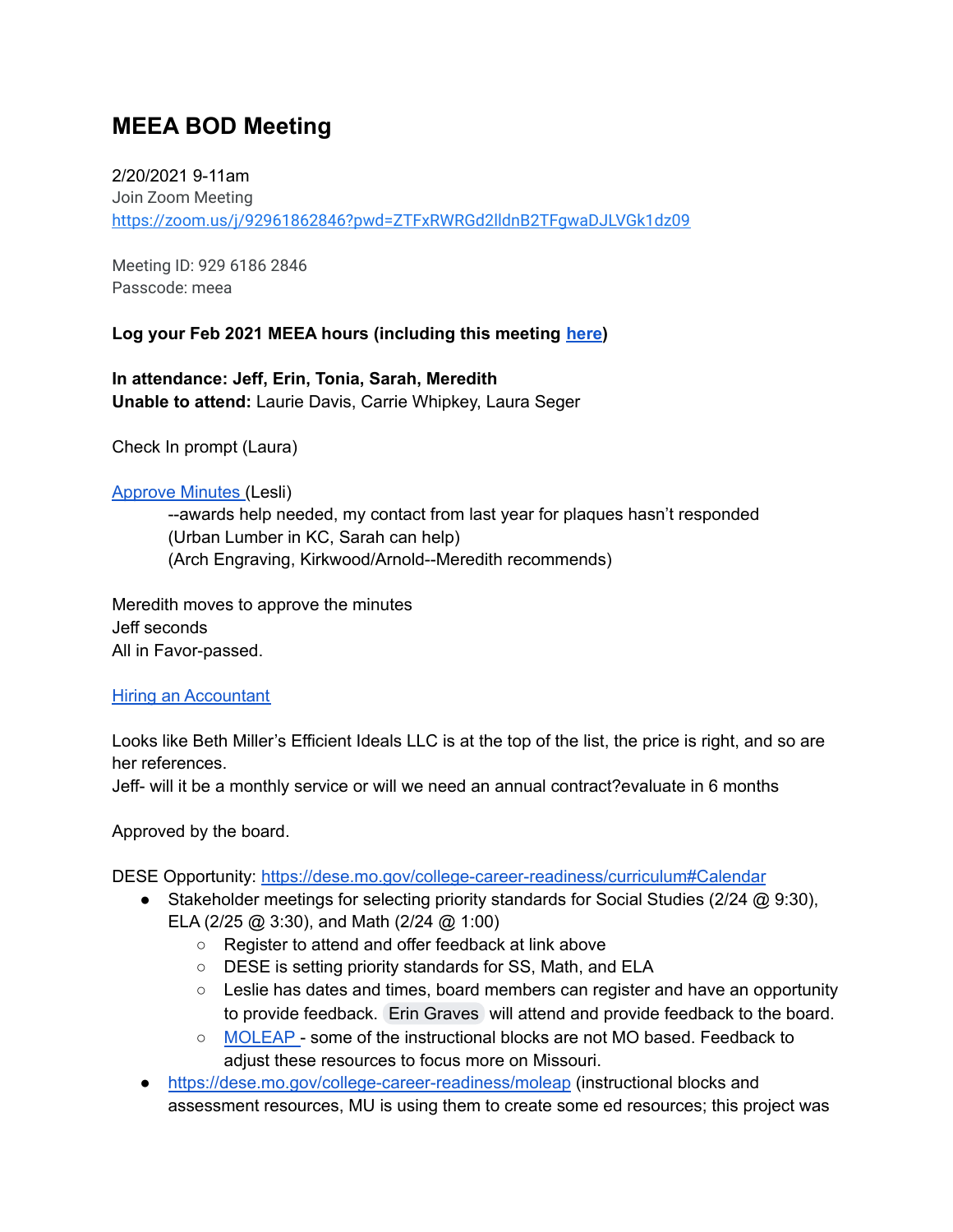# **MEEA BOD Meeting**

#### 2/20/2021 9-11am

Join Zoom Meeting <https://zoom.us/j/92961862846?pwd=ZTFxRWRGd2lldnB2TFgwaDJLVGk1dz09>

Meeting ID: 929 6186 2846 Passcode: meea

### **Log your Feb 2021 MEEA hours (including this meeting [here](https://docs.google.com/forms/d/e/1FAIpQLSeyGs3BdG_sxFAGpjjXzRryj-8Os6pPqOvRnoMgrYpaisbrkw/viewform?usp=sf_link))**

**In attendance: Jeff, Erin, Tonia, Sarah, Meredith Unable to attend:** Laurie Davis, Carrie Whipkey, Laura Seger

Check In prompt (Laura)

#### [Approve](https://docs.google.com/document/d/1SdHexsLS6W1hOdrtVsejSbPCyu9Mr1A9vX7Fvegvfc0/edit?usp=sharing) Minutes (Lesli)

--awards help needed, my contact from last year for plaques hasn't responded (Urban Lumber in KC, Sarah can help) (Arch Engraving, Kirkwood/Arnold--Meredith recommends)

Meredith moves to approve the minutes Jeff seconds All in Favor-passed.

Hiring an [Accountant](https://docs.google.com/spreadsheets/d/1PSk72dgdpT6QlcSxfOQ6Ah6N06v1V5Fe_KPj37cisnQ/edit?usp=sharing)

Looks like Beth Miller's Efficient Ideals LLC is at the top of the list, the price is right, and so are her references.

Jeff- will it be a monthly service or will we need an annual contract?evaluate in 6 months

Approved by the board.

DESE Opportunity: <https://dese.mo.gov/college-career-readiness/curriculum#Calendar>

- Stakeholder meetings for selecting priority standards for Social Studies (2/24  $\omega$  9:30), ELA (2/25 @ 3:30), and Math (2/24 @ 1:00)
	- Register to attend and offer feedback at link above
	- DESE is setting priority standards for SS, Math, and ELA
	- Leslie has dates and times, board members can register and have an opportunity to provide feedback. Erin [Graves](mailto:egraves@dunklin.k12.mo.us) will attend and provide feedback to the board.
	- [MOLEAP](https://dese.mo.gov/college-career-readiness/moleap) some of the instructional blocks are not MO based. Feedback to adjust these resources to focus more on Missouri.
- <https://dese.mo.gov/college-career-readiness/moleap> (instructional blocks and assessment resources, MU is using them to create some ed resources; this project was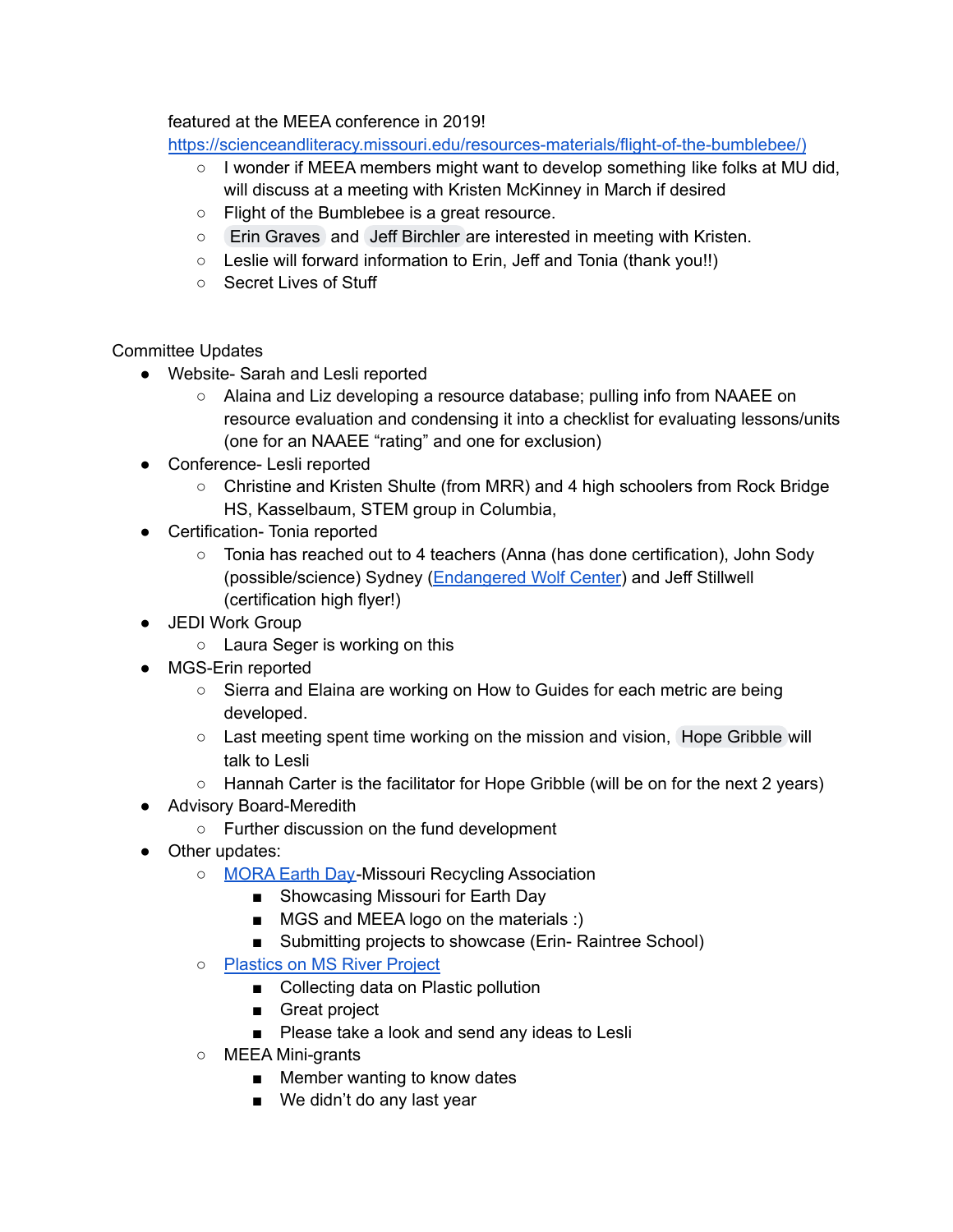featured at the MEEA conference in 2019!

[https://scienceandliteracy.missouri.edu/resources-materials/flight-of-the-bumblebee/\)](https://scienceandliteracy.missouri.edu/resources-materials/flight-of-the-bumblebee/))

- I wonder if MEEA members might want to develop something like folks at MU did, will discuss at a meeting with Kristen McKinney in March if desired
- Flight of the Bumblebee is a great resource.
- Erin [Graves](mailto:egraves@dunklin.k12.mo.us) and Jeff [Birchler](mailto:jeff@watershedcommittee.org) are interested in meeting with Kristen.
- Leslie will forward information to Erin, Jeff and Tonia (thank you!!)
- Secret Lives of Stuff

Committee Updates

- Website- Sarah and Lesli reported
	- Alaina and Liz developing a resource database; pulling info from NAAEE on resource evaluation and condensing it into a checklist for evaluating lessons/units (one for an NAAEE "rating" and one for exclusion)
- Conference- Lesli reported
	- Christine and Kristen Shulte (from MRR) and 4 high schoolers from Rock Bridge HS, Kasselbaum, STEM group in Columbia,
- Certification- Tonia reported
	- Tonia has reached out to 4 teachers (Anna (has done certification), John Sody (possible/science) Sydney [\(Endangered](https://www.endangeredwolfcenter.org/) Wolf Center) and Jeff Stillwell (certification high flyer!)
- JEDI Work Group
	- Laura Seger is working on this
- MGS-Erin reported
	- Sierra and Elaina are working on How to Guides for each metric are being developed.
	- Last meeting spent time working on the mission and vision, Hope [Gribble](mailto:hope.gribble@mobot.org) will talk to Lesli
	- Hannah Carter is the facilitator for Hope Gribble (will be on for the next 2 years)
- Advisory Board-Meredith
	- Further discussion on the fund development
- Other updates:
	- [MORA](https://drive.google.com/file/d/1NLCH61Y8lT2ZKN3XsmEGgYl22xGJPucs/view?usp=sharing) Earth Day-Missouri Recycling Association
		- Showcasing Missouri for Earth Day
		- MGS and MEEA logo on the materials :)
		- Submitting projects to showcase (Erin- Raintree School)
	- [Plastics](https://drive.google.com/file/d/1cpiUuRBGJsKW3_J4UqWRxd5PO5_YEm4E/view?usp=sharing) on MS River Project
		- Collecting data on Plastic pollution
		- Great project
		- Please take a look and send any ideas to Lesli
	- MEEA Mini-grants
		- Member wanting to know dates
		- We didn't do any last year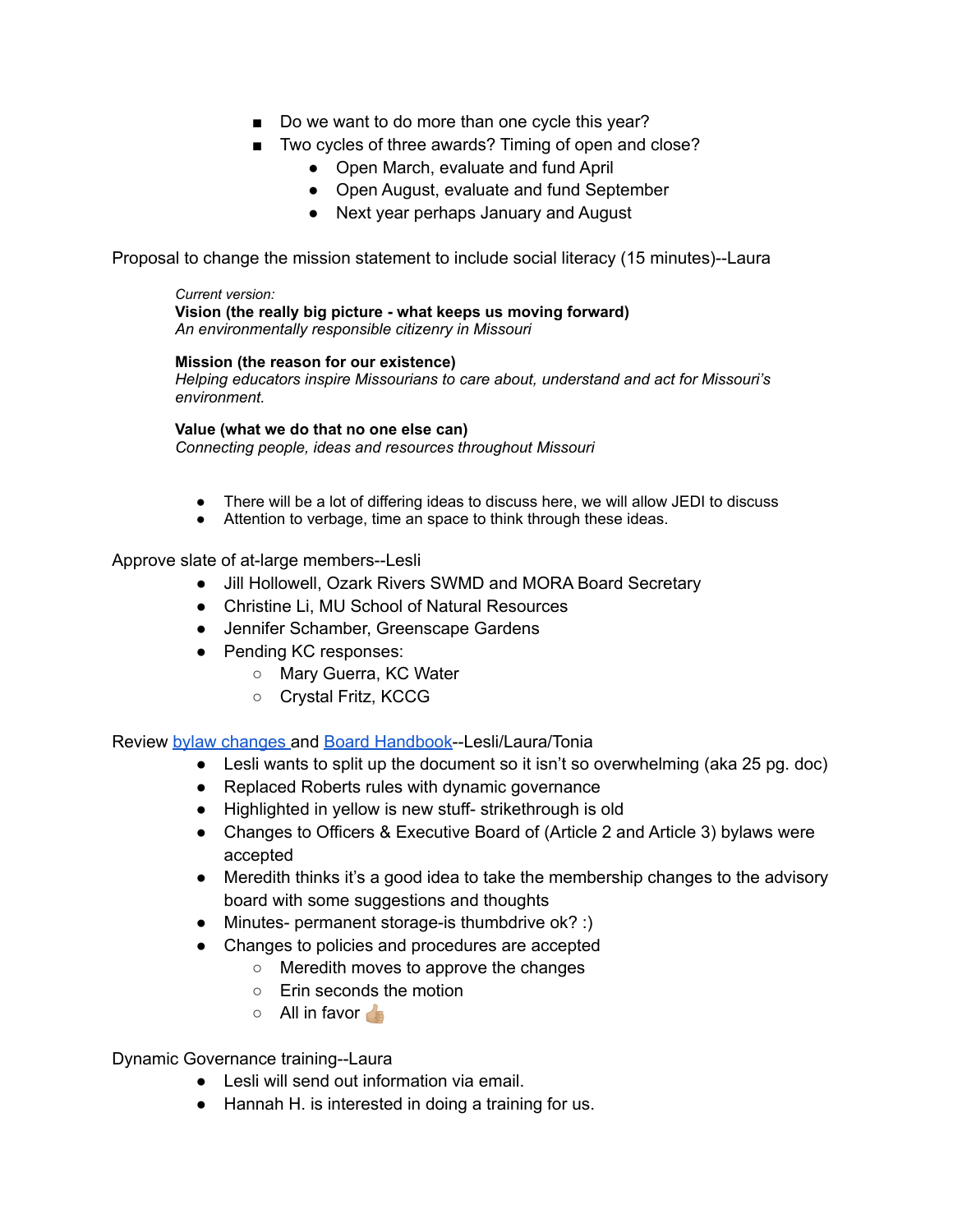- Do we want to do more than one cycle this year?
- Two cycles of three awards? Timing of open and close?
	- Open March, evaluate and fund April
	- Open August, evaluate and fund September
	- Next year perhaps January and August

Proposal to change the mission statement to include social literacy (15 minutes)--Laura

#### *Current version:*

**Vision (the really big picture - what keeps us moving forward)** *An environmentally responsible citizenry in Missouri*

**Mission (the reason for our existence)** *Helping educators inspire Missourians to care about, understand and act for Missouri's environment.*

**Value (what we do that no one else can)** *Connecting people, ideas and resources throughout Missouri*

- There will be a lot of differing ideas to discuss here, we will allow JEDI to discuss
- Attention to verbage, time an space to think through these ideas.

Approve slate of at-large members--Lesli

- Jill Hollowell, Ozark Rivers SWMD and MORA Board Secretary
- Christine Li, MU School of Natural Resources
- Jennifer Schamber, Greenscape Gardens
- Pending KC responses:
	- Mary Guerra, KC Water
	- Crystal Fritz, KCCG

Review bylaw [changes](https://docs.google.com/document/d/1yppsqlPYdegbENqsS3I0j7KOpNgalIhtxMPjvN1Q9zw/edit?usp=sharing) and Board [Handbook-](https://docs.google.com/document/d/1uHamtFp_eBZVAj7BruMIlYYL7Qfob19eZsWTSEkaVBA/edit?usp=sharing)-Lesli/Laura/Tonia

- $\bullet$  Lesli wants to split up the document so it isn't so overwhelming (aka 25 pg. doc)
- Replaced Roberts rules with dynamic governance
- Highlighted in yellow is new stuff- strikethrough is old
- Changes to Officers & Executive Board of (Article 2 and Article 3) bylaws were accepted
- Meredith thinks it's a good idea to take the membership changes to the advisory board with some suggestions and thoughts
- Minutes- permanent storage-is thumbdrive ok? :)
- Changes to policies and procedures are accepted
	- Meredith moves to approve the changes
		- Erin seconds the motion
		- $\circ$  All in favor

Dynamic Governance training--Laura

- Lesli will send out information via email.
- Hannah H. is interested in doing a training for us.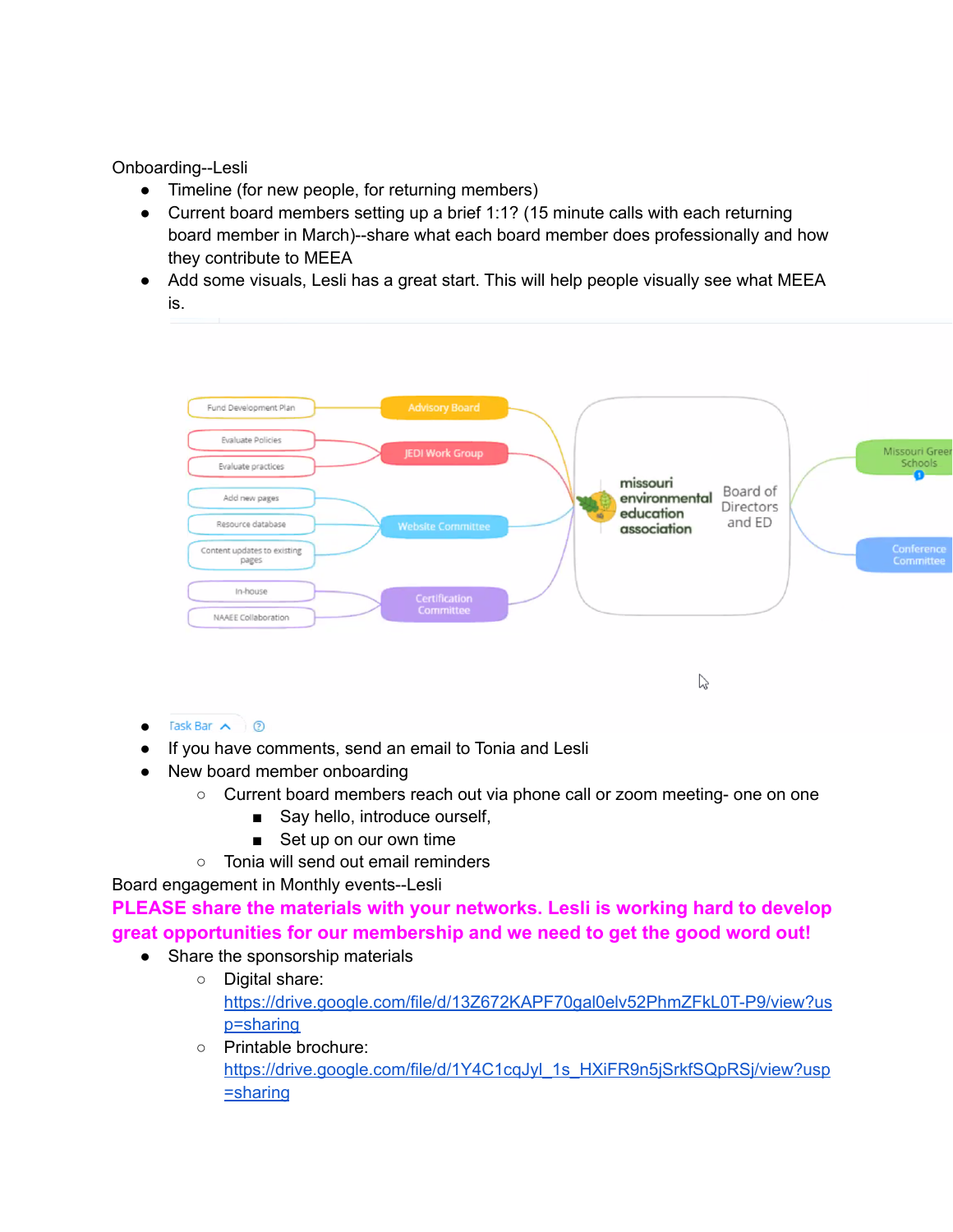Onboarding--Lesli

- Timeline (for new people, for returning members)
- Current board members setting up a brief 1:1? (15 minute calls with each returning board member in March)--share what each board member does professionally and how they contribute to MEEA
- Add some visuals, Lesli has a great start. This will help people visually see what MEEA is.



- Task Bar  $\land$  <sup>2</sup>
- If you have comments, send an email to Tonia and Lesli
- New board member onboarding
	- Current board members reach out via phone call or zoom meeting- one on one
		- Say hello, introduce ourself,
		- Set up on our own time
	- Tonia will send out email reminders

Board engagement in Monthly events--Lesli

**PLEASE share the materials with your networks. Lesli is working hard to develop great opportunities for our membership and we need to get the good word out!**

- Share the sponsorship materials
	- Digital share: [https://drive.google.com/file/d/13Z672KAPF70gal0elv52PhmZFkL0T-P9/view?us](https://drive.google.com/file/d/13Z672KAPF70gal0elv52PhmZFkL0T-P9/view?usp=sharing) [p=sharing](https://drive.google.com/file/d/13Z672KAPF70gal0elv52PhmZFkL0T-P9/view?usp=sharing)
	- Printable brochure: [https://drive.google.com/file/d/1Y4C1cqJyl\\_1s\\_HXiFR9n5jSrkfSQpRSj/view?usp](https://drive.google.com/file/d/1Y4C1cqJyl_1s_HXiFR9n5jSrkfSQpRSj/view?usp=sharing) [=sharing](https://drive.google.com/file/d/1Y4C1cqJyl_1s_HXiFR9n5jSrkfSQpRSj/view?usp=sharing)